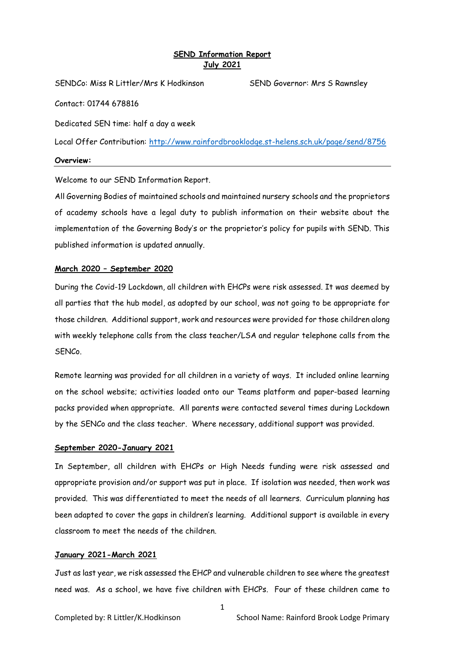# **SEND Information Report July 2021**

SENDCo: Miss R Littler/Mrs K Hodkinson SEND Governor: Mrs S Rawnsley

Contact: 01744 678816

Dedicated SEN time: half a day a week

Local Offer Contribution:<http://www.rainfordbrooklodge.st-helens.sch.uk/page/send/8756>

**Overview:**

Welcome to our SEND Information Report.

All Governing Bodies of maintained schools and maintained nursery schools and the proprietors of academy schools have a legal duty to publish information on their website about the implementation of the Governing Body's or the proprietor's policy for pupils with SEND. This published information is updated annually.

## **March 2020 – September 2020**

During the Covid-19 Lockdown, all children with EHCPs were risk assessed. It was deemed by all parties that the hub model, as adopted by our school, was not going to be appropriate for those children. Additional support, work and resources were provided for those children along with weekly telephone calls from the class teacher/LSA and regular telephone calls from the SENCo.

Remote learning was provided for all children in a variety of ways. It included online learning on the school website; activities loaded onto our Teams platform and paper-based learning packs provided when appropriate. All parents were contacted several times during Lockdown by the SENCo and the class teacher. Where necessary, additional support was provided.

## **September 2020-January 2021**

In September, all children with EHCPs or High Needs funding were risk assessed and appropriate provision and/or support was put in place. If isolation was needed, then work was provided. This was differentiated to meet the needs of all learners. Curriculum planning has been adapted to cover the gaps in children's learning. Additional support is available in every classroom to meet the needs of the children.

## **January 2021-March 2021**

Just as last year, we risk assessed the EHCP and vulnerable children to see where the greatest need was. As a school, we have five children with EHCPs. Four of these children came to

1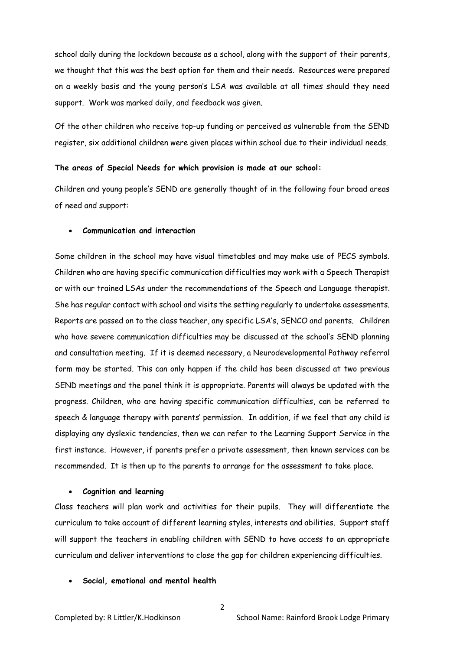school daily during the lockdown because as a school, along with the support of their parents, we thought that this was the best option for them and their needs. Resources were prepared on a weekly basis and the young person's LSA was available at all times should they need support. Work was marked daily, and feedback was given.

Of the other children who receive top-up funding or perceived as vulnerable from the SEND register, six additional children were given places within school due to their individual needs.

### **The areas of Special Needs for which provision is made at our school:**

Children and young people's SEND are generally thought of in the following four broad areas of need and support:

#### • **Communication and interaction**

Some children in the school may have visual timetables and may make use of PECS symbols. Children who are having specific communication difficulties may work with a Speech Therapist or with our trained LSAs under the recommendations of the Speech and Language therapist. She has regular contact with school and visits the setting regularly to undertake assessments. Reports are passed on to the class teacher, any specific LSA's, SENCO and parents. Children who have severe communication difficulties may be discussed at the school's SEND planning and consultation meeting. If it is deemed necessary, a Neurodevelopmental Pathway referral form may be started. This can only happen if the child has been discussed at two previous SEND meetings and the panel think it is appropriate. Parents will always be updated with the progress. Children, who are having specific communication difficulties, can be referred to speech & language therapy with parents' permission. In addition, if we feel that any child is displaying any dyslexic tendencies, then we can refer to the Learning Support Service in the first instance. However, if parents prefer a private assessment, then known services can be recommended. It is then up to the parents to arrange for the assessment to take place.

#### • **Cognition and learning**

Class teachers will plan work and activities for their pupils. They will differentiate the curriculum to take account of different learning styles, interests and abilities. Support staff will support the teachers in enabling children with SEND to have access to an appropriate curriculum and deliver interventions to close the gap for children experiencing difficulties.

### • **Social, emotional and mental health**

 $\overline{2}$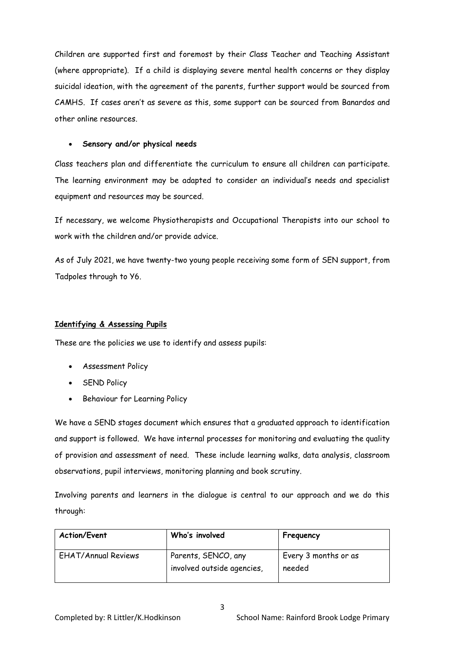Children are supported first and foremost by their Class Teacher and Teaching Assistant (where appropriate). If a child is displaying severe mental health concerns or they display suicidal ideation, with the agreement of the parents, further support would be sourced from CAMHS. If cases aren't as severe as this, some support can be sourced from Banardos and other online resources.

## • **Sensory and/or physical needs**

Class teachers plan and differentiate the curriculum to ensure all children can participate. The learning environment may be adapted to consider an individual's needs and specialist equipment and resources may be sourced.

If necessary, we welcome Physiotherapists and Occupational Therapists into our school to work with the children and/or provide advice.

As of July 2021, we have twenty-two young people receiving some form of SEN support, from Tadpoles through to Y6.

# **Identifying & Assessing Pupils**

These are the policies we use to identify and assess pupils:

- Assessment Policy
- SEND Policy
- Behaviour for Learning Policy

We have a SEND stages document which ensures that a graduated approach to identification and support is followed. We have internal processes for monitoring and evaluating the quality of provision and assessment of need. These include learning walks, data analysis, classroom observations, pupil interviews, monitoring planning and book scrutiny.

Involving parents and learners in the dialogue is central to our approach and we do this through:

| <b>Action/Event</b>        | Who's involved                                    | Frequency                      |
|----------------------------|---------------------------------------------------|--------------------------------|
| <b>EHAT/Annual Reviews</b> | Parents, SENCO, any<br>involved outside agencies, | Every 3 months or as<br>needed |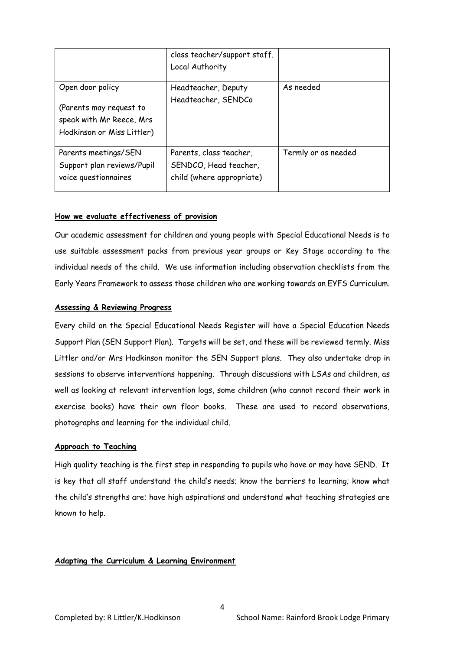|                                                                                                       | class teacher/support staff.<br>Local Authority                               |                     |
|-------------------------------------------------------------------------------------------------------|-------------------------------------------------------------------------------|---------------------|
| Open door policy<br>(Parents may request to<br>speak with Mr Reece, Mrs<br>Hodkinson or Miss Littler) | Headteacher, Deputy<br>Headteacher, SENDCo                                    | As needed           |
| Parents meetings/SEN<br>Support plan reviews/Pupil<br>voice questionnaires                            | Parents, class teacher,<br>SENDCO, Head teacher,<br>child (where appropriate) | Termly or as needed |

## **How we evaluate effectiveness of provision**

Our academic assessment for children and young people with Special Educational Needs is to use suitable assessment packs from previous year groups or Key Stage according to the individual needs of the child. We use information including observation checklists from the Early Years Framework to assess those children who are working towards an EYFS Curriculum.

## **Assessing & Reviewing Progress**

Every child on the Special Educational Needs Register will have a Special Education Needs Support Plan (SEN Support Plan). Targets will be set, and these will be reviewed termly. Miss Littler and/or Mrs Hodkinson monitor the SEN Support plans. They also undertake drop in sessions to observe interventions happening. Through discussions with LSAs and children, as well as looking at relevant intervention logs, some children (who cannot record their work in exercise books) have their own floor books. These are used to record observations, photographs and learning for the individual child.

## **Approach to Teaching**

High quality teaching is the first step in responding to pupils who have or may have SEND. It is key that all staff understand the child's needs; know the barriers to learning; know what the child's strengths are; have high aspirations and understand what teaching strategies are known to help.

## **Adapting the Curriculum & Learning Environment**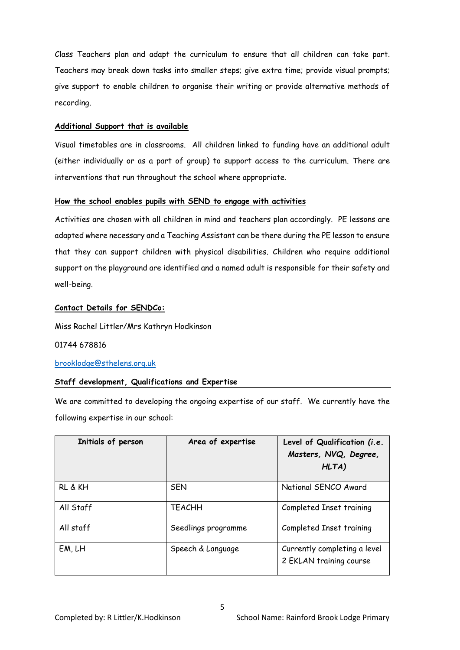Class Teachers plan and adapt the curriculum to ensure that all children can take part. Teachers may break down tasks into smaller steps; give extra time; provide visual prompts; give support to enable children to organise their writing or provide alternative methods of recording.

## **Additional Support that is available**

Visual timetables are in classrooms. All children linked to funding have an additional adult (either individually or as a part of group) to support access to the curriculum. There are interventions that run throughout the school where appropriate.

## **How the school enables pupils with SEND to engage with activities**

Activities are chosen with all children in mind and teachers plan accordingly. PE lessons are adapted where necessary and a Teaching Assistant can be there during the PE lesson to ensure that they can support children with physical disabilities. Children who require additional support on the playground are identified and a named adult is responsible for their safety and well-being.

# **Contact Details for SENDCo:**

Miss Rachel Littler/Mrs Kathryn Hodkinson

01744 678816

# [brooklodge@sthelens.org.uk](mailto:brooklodge@sthelens.org.uk)

# **Staff development, Qualifications and Expertise**

We are committed to developing the ongoing expertise of our staff. We currently have the following expertise in our school:

| Initials of person | Area of expertise   | Level of Qualification (i.e.<br>Masters, NVQ, Degree,<br>HLTA) |
|--------------------|---------------------|----------------------------------------------------------------|
| RL & KH            | <b>SEN</b>          | National SENCO Award                                           |
| All Staff          | <b>TEACHH</b>       | Completed Inset training                                       |
| All staff          | Seedlings programme | Completed Inset training                                       |
| EM, LH             | Speech & Language   | Currently completing a level<br>2 EKLAN training course        |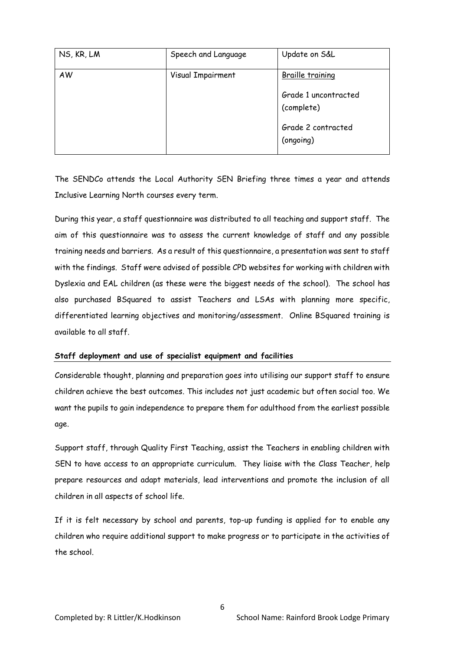| NS, KR, LM | Speech and Language | Update on S&L                      |
|------------|---------------------|------------------------------------|
| AW         | Visual Impairment   | <b>Braille training</b>            |
|            |                     | Grade 1 uncontracted<br>(complete) |
|            |                     | Grade 2 contracted<br>(ongoing)    |

The SENDCo attends the Local Authority SEN Briefing three times a year and attends Inclusive Learning North courses every term.

During this year, a staff questionnaire was distributed to all teaching and support staff. The aim of this questionnaire was to assess the current knowledge of staff and any possible training needs and barriers. As a result of this questionnaire, a presentation was sent to staff with the findings. Staff were advised of possible CPD websites for working with children with Dyslexia and EAL children (as these were the biggest needs of the school). The school has also purchased BSquared to assist Teachers and LSAs with planning more specific, differentiated learning objectives and monitoring/assessment. Online BSquared training is available to all staff.

## **Staff deployment and use of specialist equipment and facilities**

Considerable thought, planning and preparation goes into utilising our support staff to ensure children achieve the best outcomes. This includes not just academic but often social too. We want the pupils to gain independence to prepare them for adulthood from the earliest possible age.

Support staff, through Quality First Teaching, assist the Teachers in enabling children with SEN to have access to an appropriate curriculum. They liaise with the Class Teacher, help prepare resources and adapt materials, lead interventions and promote the inclusion of all children in all aspects of school life.

If it is felt necessary by school and parents, top-up funding is applied for to enable any children who require additional support to make progress or to participate in the activities of the school.

6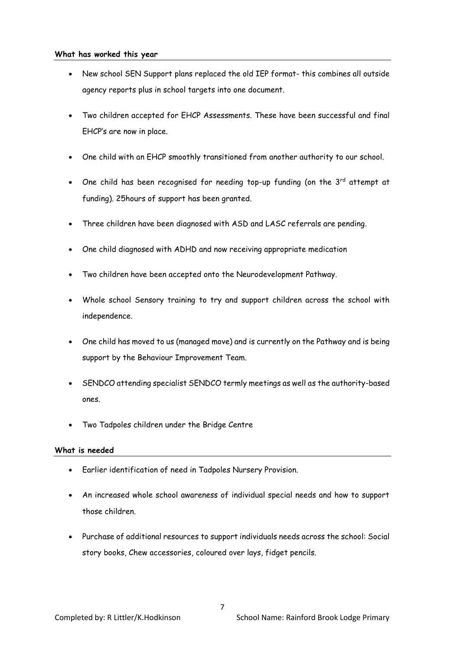### **What has worked this year**

- New school SEN Support plans replaced the old IEP format- this combines all outside agency reports plus in school targets into one document.
- Two children accepted for EHCP Assessments. These have been successful and final EHCP's are now in place.
- One child with an EHCP smoothly transitioned from another authority to our school.
- One child has been recognised for needing top-up funding (on the  $3^{rd}$  attempt at funding). 25hours of support has been granted.
- Three children have been diagnosed with ASD and LASC referrals are pending.
- One child diagnosed with ADHD and now receiving appropriate medication
- Two children have been accepted onto the Neurodevelopment Pathway.
- Whole school Sensory training to try and support children across the school with independence.
- One child has moved to us (managed move) and is currently on the Pathway and is being support by the Behaviour Improvement Team.
- SENDCO attending specialist SENDCO termly meetings as well as the authority-based ones.
- Two Tadpoles children under the Bridge Centre

## **What is needed**

- Earlier identification of need in Tadpoles Nursery Provision.
- An increased whole school awareness of individual special needs and how to support those children.
- Purchase of additional resources to support individuals needs across the school: Social story books, Chew accessories, coloured over lays, fidget pencils.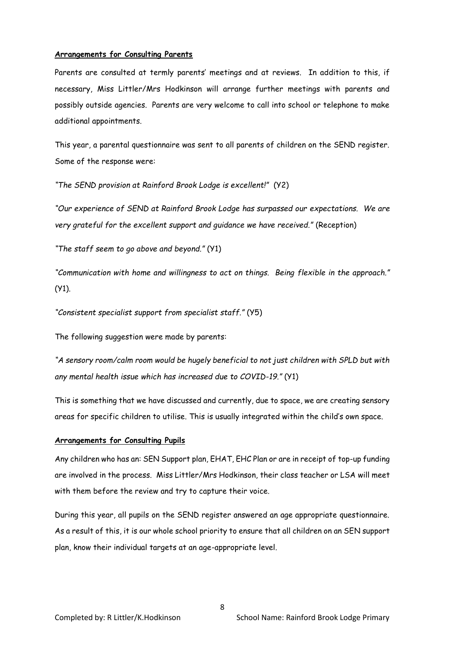### **Arrangements for Consulting Parents**

Parents are consulted at termly parents' meetings and at reviews. In addition to this, if necessary, Miss Littler/Mrs Hodkinson will arrange further meetings with parents and possibly outside agencies. Parents are very welcome to call into school or telephone to make additional appointments.

This year, a parental questionnaire was sent to all parents of children on the SEND register. Some of the response were:

*"The SEND provision at Rainford Brook Lodge is excellent!"* (Y2)

"Our experience of SEND at Rainford Brook Lodge has surpassed our expectations. We are *very grateful for the excellent support and guidance we have received."* (Reception)

*"The staff seem to go above and beyond."* (Y1)

*"Communication with home and willingness to act on things. Being flexible in the approach."*   $(Y1)$ .

*"Consistent specialist support from specialist staff."* (Y5)

The following suggestion were made by parents:

*"A sensory room/calm room would be hugely beneficial to not just children with SPLD but with any mental health issue which has increased due to COVID-19."* (Y1)

This is something that we have discussed and currently, due to space, we are creating sensory areas for specific children to utilise. This is usually integrated within the child's own space.

#### **Arrangements for Consulting Pupils**

Any children who has an: SEN Support plan, EHAT, EHC Plan or are in receipt of top-up funding are involved in the process. Miss Littler/Mrs Hodkinson, their class teacher or LSA will meet with them before the review and try to capture their voice.

During this year, all pupils on the SEND register answered an age appropriate questionnaire. As a result of this, it is our whole school priority to ensure that all children on an SEN support plan, know their individual targets at an age-appropriate level.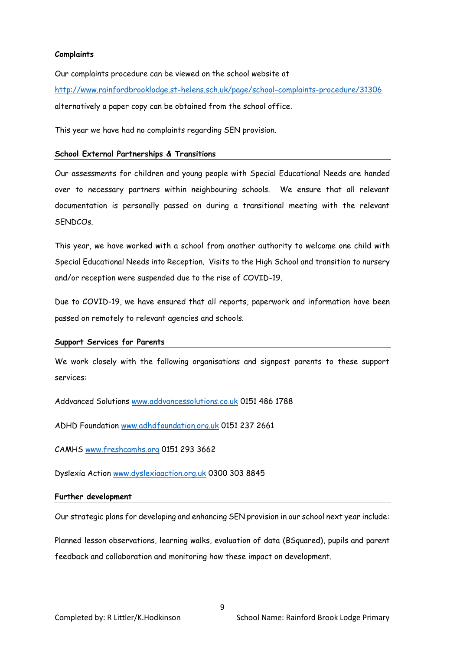### **Complaints**

Our complaints procedure can be viewed on the school website at <http://www.rainfordbrooklodge.st-helens.sch.uk/page/school-complaints-procedure/31306> alternatively a paper copy can be obtained from the school office.

This year we have had no complaints regarding SEN provision.

### **School External Partnerships & Transitions**

Our assessments for children and young people with Special Educational Needs are handed over to necessary partners within neighbouring schools. We ensure that all relevant documentation is personally passed on during a transitional meeting with the relevant SENDCOs.

This year, we have worked with a school from another authority to welcome one child with Special Educational Needs into Reception. Visits to the High School and transition to nursery and/or reception were suspended due to the rise of COVID-19.

Due to COVID-19, we have ensured that all reports, paperwork and information have been passed on remotely to relevant agencies and schools.

#### **Support Services for Parents**

We work closely with the following organisations and signpost parents to these support services:

Addvanced Solutions [www.addvancessolutions.co.uk](http://www.addvancessolutions.co.uk/) 0151 486 1788

ADHD Foundation [www.adhdfoundation.org.uk](http://www.adhdfoundation.org.uk/) 0151 237 2661

CAMHS [www.freshcamhs.org](http://www.freshcamhs.org/) 0151 293 3662

Dyslexia Action [www.dyslexiaaction.org.uk](http://www.dyslexiaaction.org.uk/) 0300 303 8845

#### **Further development**

Our strategic plans for developing and enhancing SEN provision in our school next year include:

Planned lesson observations, learning walks, evaluation of data (BSquared), pupils and parent feedback and collaboration and monitoring how these impact on development.